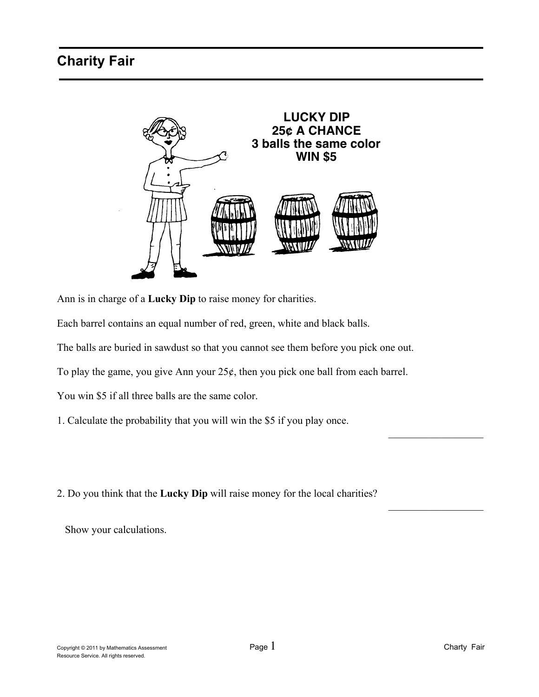

Ann is in charge of a **Lucky Dip** to raise money for charities.

Each barrel contains an equal number of red, green, white and black balls.

The balls are buried in sawdust so that you cannot see them before you pick one out.

To play the game, you give Ann your  $25¢$ , then you pick one ball from each barrel.

You win \$5 if all three balls are the same color.

1. Calculate the probability that you will win the \$5 if you play once.

2. Do you think that the **Lucky Dip** will raise money for the local charities?

Show your calculations.

 $\overline{\phantom{a}}$ 

 $\overline{\phantom{a}}$